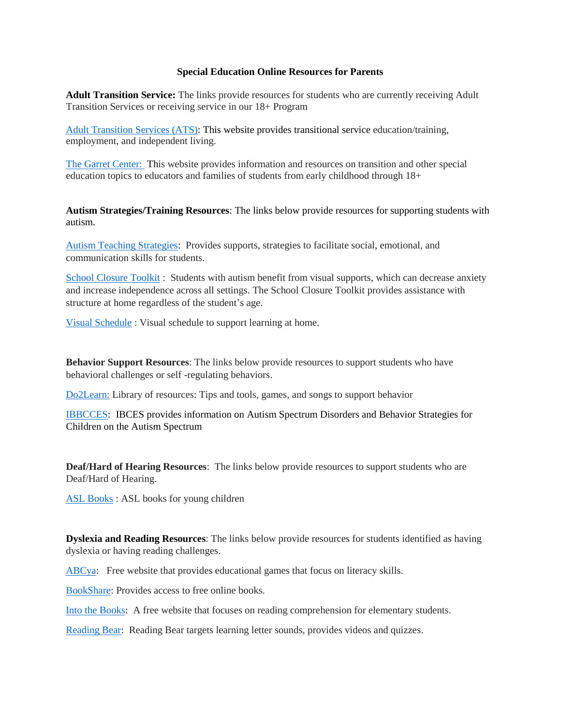## **Special Education Online Resources for Parents**

**Adult Transition Service:** The links provide resources for students who are currently receiving Adult Transition Services or receiving service in our 18+ Program

[Adult Transition Services \(ATS\):](https://www.texastransition.org/) This website provides transitional service education/training, employment, and independent living.

[The Garret Center: This website provides information and resources on transition and other special](https://www.shsu.edu/centers/garrettcenter/)  [education topics to educators and families of students from early childhood through 18+](https://www.shsu.edu/centers/garrettcenter/)

**Autism Strategies/Training Resources**: The links below provide resources for supporting students with autism.

[Autism Teaching Strategies:](http://autismteachingstrategies.com/free-social-skills-downloads-2/) Provides supports, strategies to facilitate social, emotional, and communication skills for students.

[School Closure Toolkit](https://drive.google.com/file/d/19r1MfusWcP40KskiebD2ItMrRYepWtWT/view) : Students with autism benefit from visual supports, which can decrease anxiety and increase independence across all settings. The School Closure Toolkit provides assistance with structure at home regardless of the student's age.

[Visual Schedule](https://drive.google.com/file/d/1C82cs0kodBM6PA-7uGWJyV9C1qahyv6s/view) : Visual schedule to support learning at home.

**Behavior Support Resources**: The links below provide resources to support students who have behavioral challenges or self -regulating behaviors.

[Do2Learn:](https://do2learn.com/) Library of resources: Tips and tools, games, and songs to support behavior

[IBBCCES:](https://ibcces.org/blog/2016/07/15/behavior-strategies/) IBCES provides information on Autism Spectrum Disorders and Behavior Strategies for Children on the Autism Spectrum

**Deaf/Hard of Hearing Resources**: The links below provide resources to support students who are Deaf/Hard of Hearing.

[ASL Books](https://rmds.jeffcopublicschools.org/academics/toddler_program/a_s_l_videos) : ASL books for young children

**Dyslexia and Reading Resources**: The links below provide resources for students identified as having dyslexia or having reading challenges.

[ABCya:](https://www.abcya.com/) Free website that provides educational games that focus on literacy skills.

[BookShare:](https://www.bookshare.org/cms/) Provides access to free online books.

[Into the Books:](https://reading.ecb.org/) A free website that focuses on reading comprehension for elementary students.

[Reading Bear:](https://www.readingbear.org/) Reading Bear targets learning letter sounds, provides videos and quizzes.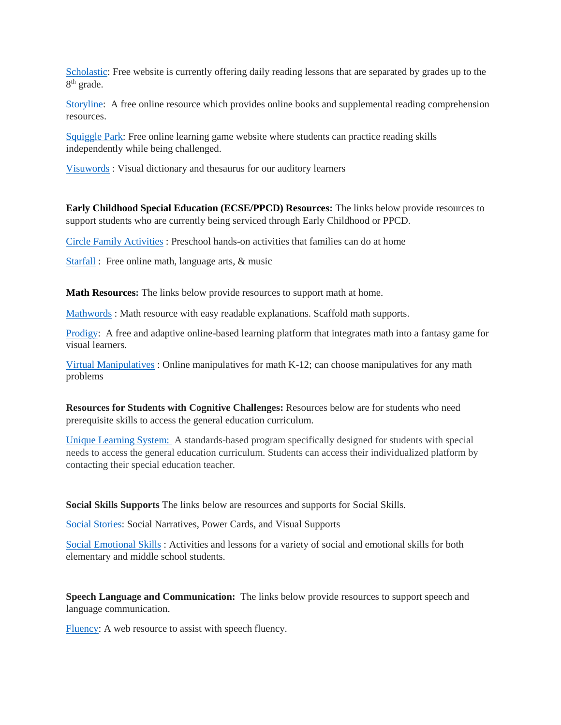[Scholastic:](https://classroommagazines.scholastic.com/support/learnathome.html) Free website is currently offering daily reading lessons that are separated by grades up to the 8<sup>th</sup> grade.

[Storyline:](https://www.storylineonline.net/) A free online resource which provides online books and supplemental reading comprehension resources.

[Squiggle Park:](https://www.squigglepark.com/) Free online learning game website where students can practice reading skills independently while being challenged.

[Visuwords](https://www.google.com/url?q=https%3A%2F%2Fvisuwords.com%2F&sa=D&sntz=1&usg=AFQjCNG-aAG3uYq05NzdKms5ZErWinYF1g) : Visual dictionary and thesaurus for our auditory learners

**Early Childhood Special Education (ECSE/PPCD) Resources:** The links below provide resources to support students who are currently being serviced through Early Childhood or PPCD.

[Circle Family Activities](https://cliengagefamily.org/) : Preschool hands-on activities that families can do at home

[Starfall](https://www.starfall.com/h/) : Free online math, language arts, & music

**Math Resources:** The links below provide resources to support math at home.

[Mathwords](http://www.mathwords.com/) : Math resource with easy readable explanations. Scaffold math supports.

[Prodigy:](https://www.prodigygame.com/) A free and adaptive online-based learning platform that integrates math into a fantasy game for visual learners.

[Virtual Manipulatives](http://nlvm.usu.edu/en/nav/vlibrary.html) : Online manipulatives for math K-12; can choose manipulatives for any math problems

**Resources for Students with Cognitive Challenges:** Resources below are for students who need prerequisite skills to access the general education curriculum.

[Unique Learning System:](https://www.n2y.com/unique-learning-system/) A standards-based program specifically designed for students with special needs to access the general education curriculum. Students can access their individualized platform by contacting their special education teacher.

**Social Skills Supports** The links below are resources and supports for Social Skills.

[Social Stories:](http://www.kansasasd.com/socialnarratives.php) Social Narratives, Power Cards, and Visual Supports

[Social Emotional Skills](https://www.centervention.com/social-emotional-learning-activities/) : Activities and lessons for a variety of social and emotional skills for both elementary and middle school students.

**Speech Language and Communication:** The links below provide resources to support speech and language communication.

[Fluency:](https://www.stutteringtherapyresources.com/resources) A web resource to assist with speech fluency.